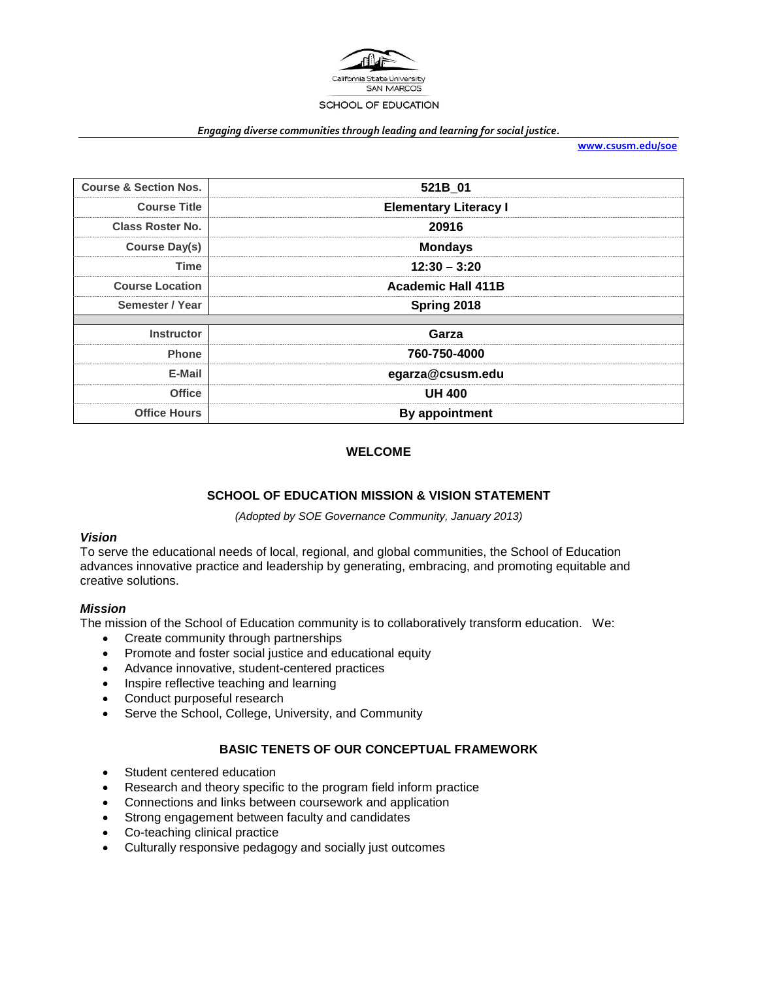

#### *Engaging diverse communities through leading and learning for social justice.*

**[www.csusm.edu/soe](http://www.csusm.edu/soe)**

| <b>Course &amp; Section Nos.</b> | 521B 01                      |  |
|----------------------------------|------------------------------|--|
| <b>Course Title</b>              | <b>Elementary Literacy I</b> |  |
| <b>Class Roster No.</b>          | 20916                        |  |
| <b>Course Day(s)</b>             | <b>Mondays</b>               |  |
| Time                             | $12:30 - 3:20$               |  |
| <b>Course Location</b>           | <b>Academic Hall 411B</b>    |  |
| Semester / Year                  | Spring 2018                  |  |
|                                  |                              |  |
| <b>Instructor</b>                | Garza                        |  |
| <b>Phone</b>                     | 760-750-4000                 |  |
| E-Mail                           | egarza@csusm.edu             |  |
| <b>Office</b>                    | <b>UH 400</b>                |  |
| <b>Office Hours</b>              | <b>By appointment</b>        |  |

# **WELCOME**

### **SCHOOL OF EDUCATION MISSION & VISION STATEMENT**

*(Adopted by SOE Governance Community, January 2013)*

### *Vision*

To serve the educational needs of local, regional, and global communities, the School of Education advances innovative practice and leadership by generating, embracing, and promoting equitable and creative solutions.

### *Mission*

The mission of the School of Education community is to collaboratively transform education. We:

- Create community through partnerships
- Promote and foster social justice and educational equity
- Advance innovative, student-centered practices
- Inspire reflective teaching and learning
- Conduct purposeful research
- Serve the School, College, University, and Community

# **BASIC TENETS OF OUR CONCEPTUAL FRAMEWORK**

- Student centered education
- Research and theory specific to the program field inform practice
- Connections and links between coursework and application
- Strong engagement between faculty and candidates
- Co-teaching clinical practice
- Culturally responsive pedagogy and socially just outcomes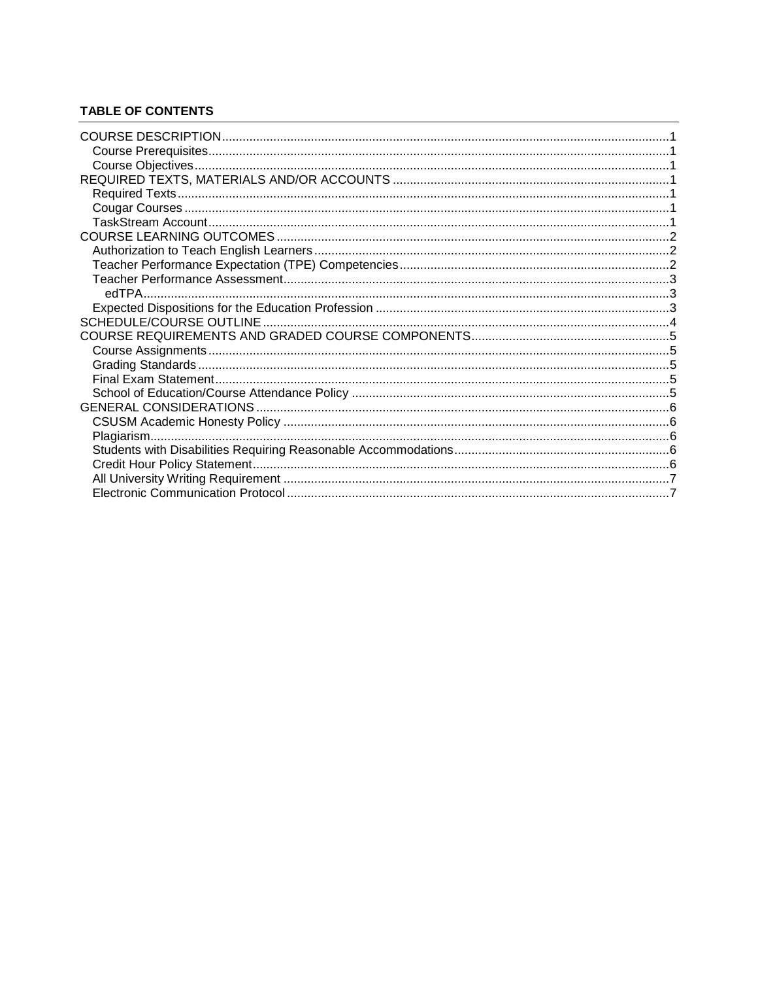# **TABLE OF CONTENTS**

<span id="page-1-0"></span>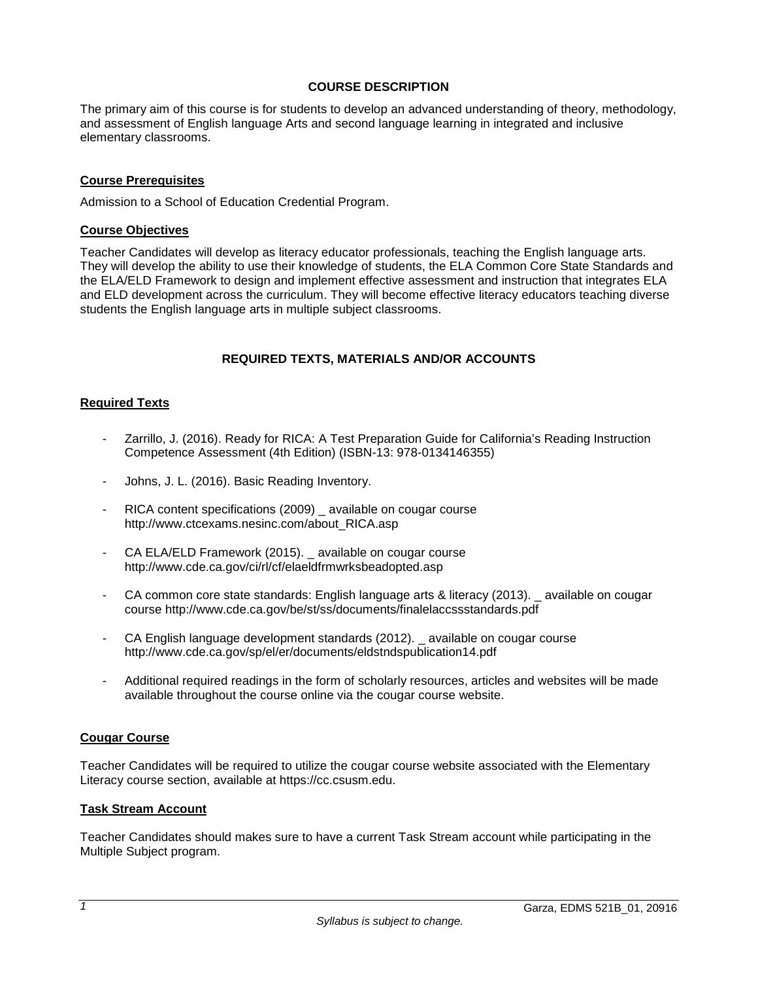## **COURSE DESCRIPTION**

The primary aim of this course is for students to develop an advanced understanding of theory, methodology, and assessment of English language Arts and second language learning in integrated and inclusive elementary classrooms.

## <span id="page-2-0"></span>**Course Prerequisites**

Admission to a School of Education Credential Program.

### <span id="page-2-1"></span>**Course Objectives**

Teacher Candidates will develop as literacy educator professionals, teaching the English language arts. They will develop the ability to use their knowledge of students, the ELA Common Core State Standards and the ELA/ELD Framework to design and implement effective assessment and instruction that integrates ELA and ELD development across the curriculum. They will become effective literacy educators teaching diverse students the English language arts in multiple subject classrooms.

## **REQUIRED TEXTS, MATERIALS AND/OR ACCOUNTS**

## <span id="page-2-3"></span><span id="page-2-2"></span>**Required Texts**

- Zarrillo, J. (2016). Ready for RICA: A Test Preparation Guide for California's Reading Instruction Competence Assessment (4th Edition) (ISBN-13: 978-0134146355)
- Johns, J. L. (2016). Basic Reading Inventory.
- RICA content specifications (2009) available on cougar course http://www.ctcexams.nesinc.com/about\_RICA.asp
- CA ELA/ELD Framework (2015). \_ available on cougar course http://www.cde.ca.gov/ci/rl/cf/elaeldfrmwrksbeadopted.asp
- CA common core state standards: English language arts & literacy (2013). \_ available on cougar course http://www.cde.ca.gov/be/st/ss/documents/finalelaccssstandards.pdf
- CA English language development standards (2012). \_ available on cougar course http://www.cde.ca.gov/sp/el/er/documents/eldstndspublication14.pdf
- Additional required readings in the form of scholarly resources, articles and websites will be made available throughout the course online via the cougar course website.

### **Cougar Course**

Teacher Candidates will be required to utilize the cougar course website associated with the Elementary Literacy course section, available at https://cc.csusm.edu.

### **Task Stream Account**

Teacher Candidates should makes sure to have a current Task Stream account while participating in the Multiple Subject program.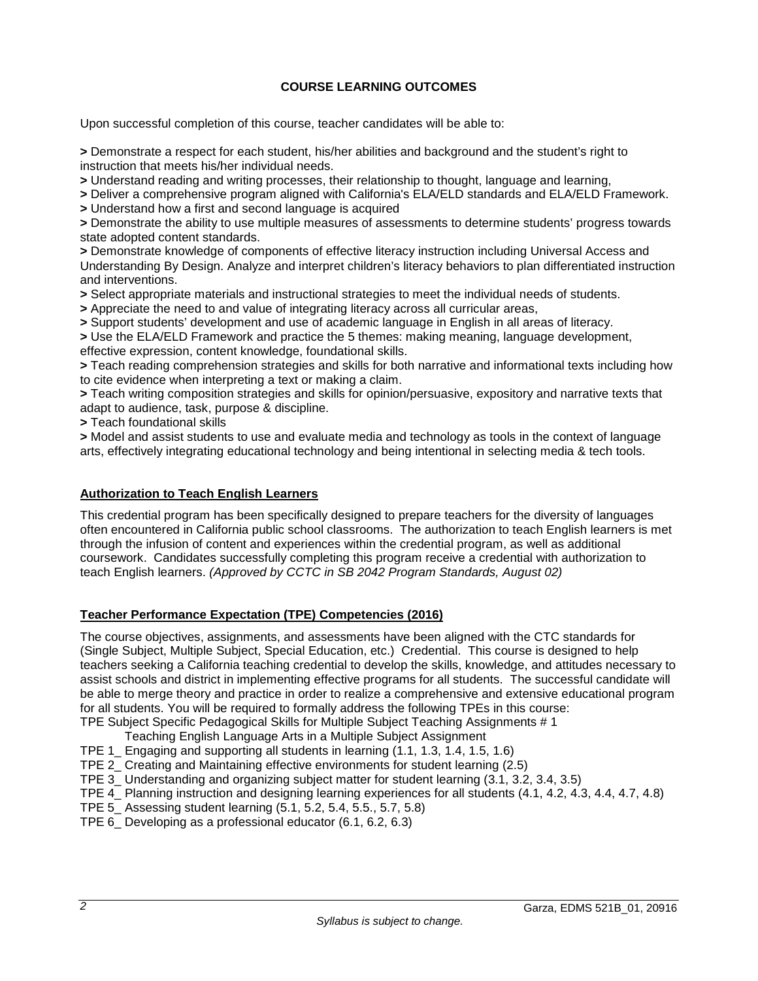# **COURSE LEARNING OUTCOMES**

<span id="page-3-0"></span>Upon successful completion of this course, teacher candidates will be able to:

**>** Demonstrate a respect for each student, his/her abilities and background and the student's right to instruction that meets his/her individual needs.

**>** Understand reading and writing processes, their relationship to thought, language and learning,

**>** Deliver a comprehensive program aligned with California's ELA/ELD standards and ELA/ELD Framework.

**>** Understand how a first and second language is acquired

**>** Demonstrate the ability to use multiple measures of assessments to determine students' progress towards state adopted content standards.

**>** Demonstrate knowledge of components of effective literacy instruction including Universal Access and Understanding By Design. Analyze and interpret children's literacy behaviors to plan differentiated instruction and interventions.

**>** Select appropriate materials and instructional strategies to meet the individual needs of students.

**>** Appreciate the need to and value of integrating literacy across all curricular areas,

**>** Support students' development and use of academic language in English in all areas of literacy.

**>** Use the ELA/ELD Framework and practice the 5 themes: making meaning, language development, effective expression, content knowledge, foundational skills.

**>** Teach reading comprehension strategies and skills for both narrative and informational texts including how to cite evidence when interpreting a text or making a claim.

**>** Teach writing composition strategies and skills for opinion/persuasive, expository and narrative texts that adapt to audience, task, purpose & discipline.

**>** Teach foundational skills

**>** Model and assist students to use and evaluate media and technology as tools in the context of language arts, effectively integrating educational technology and being intentional in selecting media & tech tools.

# <span id="page-3-1"></span>**Authorization to Teach English Learners**

This credential program has been specifically designed to prepare teachers for the diversity of languages often encountered in California public school classrooms. The authorization to teach English learners is met through the infusion of content and experiences within the credential program, as well as additional coursework. Candidates successfully completing this program receive a credential with authorization to teach English learners. *(Approved by CCTC in SB 2042 Program Standards, August 02)*

# <span id="page-3-2"></span>**Teacher Performance Expectation (TPE) Competencies (2016)**

The course objectives, assignments, and assessments have been aligned with the CTC standards for (Single Subject, Multiple Subject, Special Education, etc.) Credential. This course is designed to help teachers seeking a California teaching credential to develop the skills, knowledge, and attitudes necessary to assist schools and district in implementing effective programs for all students. The successful candidate will be able to merge theory and practice in order to realize a comprehensive and extensive educational program for all students. You will be required to formally address the following TPEs in this course: TPE Subject Specific Pedagogical Skills for Multiple Subject Teaching Assignments # 1

- Teaching English Language Arts in a Multiple Subject Assignment
- TPE 1\_ Engaging and supporting all students in learning (1.1, 1.3, 1.4, 1.5, 1.6)
- TPE 2\_ Creating and Maintaining effective environments for student learning (2.5)

TPE 3\_ Understanding and organizing subject matter for student learning (3.1, 3.2, 3.4, 3.5)

TPE 4 Planning instruction and designing learning experiences for all students (4.1, 4.2, 4.3, 4.4, 4.7, 4.8)

- TPE 5\_ Assessing student learning (5.1, 5.2, 5.4, 5.5., 5.7, 5.8)
- TPE 6\_ Developing as a professional educator (6.1, 6.2, 6.3)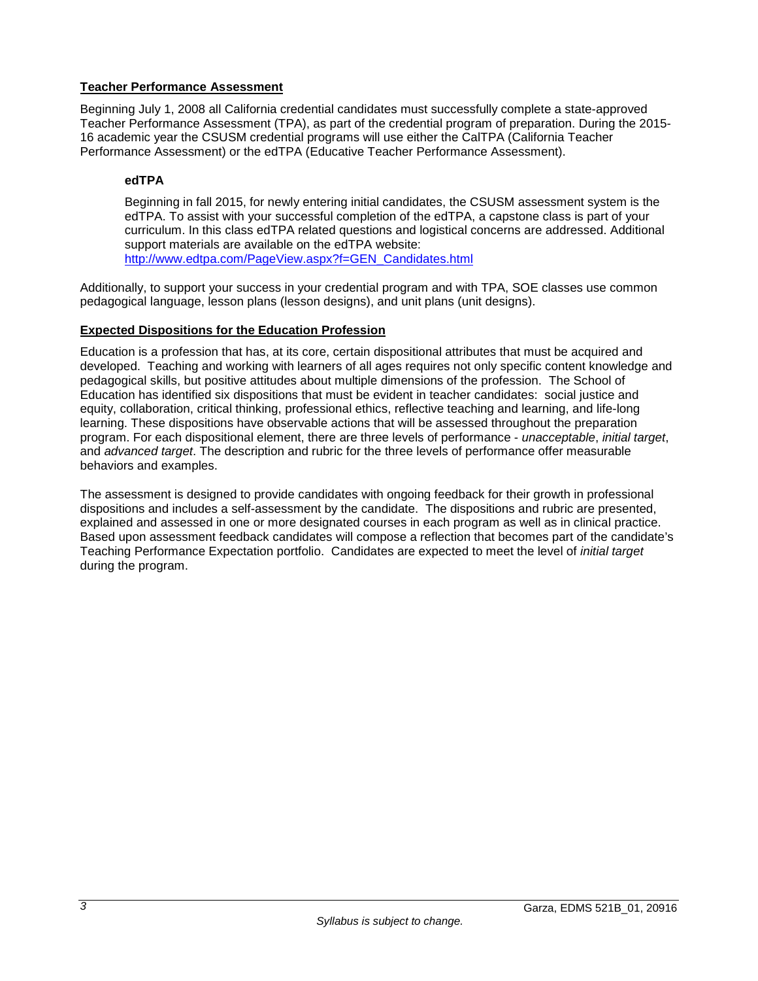# <span id="page-4-0"></span>**Teacher Performance Assessment**

Beginning July 1, 2008 all California credential candidates must successfully complete a state-approved Teacher Performance Assessment (TPA), as part of the credential program of preparation. During the 2015- 16 academic year the CSUSM credential programs will use either the CalTPA (California Teacher Performance Assessment) or the edTPA (Educative Teacher Performance Assessment).

# <span id="page-4-1"></span>**edTPA**

Beginning in fall 2015, for newly entering initial candidates, the CSUSM assessment system is the edTPA. To assist with your successful completion of the edTPA, a capstone class is part of your curriculum. In this class edTPA related questions and logistical concerns are addressed. Additional support materials are available on the edTPA website: [http://www.edtpa.com/PageView.aspx?f=GEN\\_Candidates.html](http://www.edtpa.com/PageView.aspx?f=GEN_Candidates.html)

Additionally, to support your success in your credential program and with TPA, SOE classes use common pedagogical language, lesson plans (lesson designs), and unit plans (unit designs).

# <span id="page-4-2"></span>**Expected Dispositions for the Education Profession**

Education is a profession that has, at its core, certain dispositional attributes that must be acquired and developed. Teaching and working with learners of all ages requires not only specific content knowledge and pedagogical skills, but positive attitudes about multiple dimensions of the profession. The School of Education has identified six dispositions that must be evident in teacher candidates: social justice and equity, collaboration, critical thinking, professional ethics, reflective teaching and learning, and life-long learning. These dispositions have observable actions that will be assessed throughout the preparation program. For each dispositional element, there are three levels of performance - *unacceptable*, *initial target*, and *advanced target*. The description and rubric for the three levels of performance offer measurable behaviors and examples.

The assessment is designed to provide candidates with ongoing feedback for their growth in professional dispositions and includes a self-assessment by the candidate. The dispositions and rubric are presented, explained and assessed in one or more designated courses in each program as well as in clinical practice. Based upon assessment feedback candidates will compose a reflection that becomes part of the candidate's Teaching Performance Expectation portfolio. Candidates are expected to meet the level of *initial target* during the program.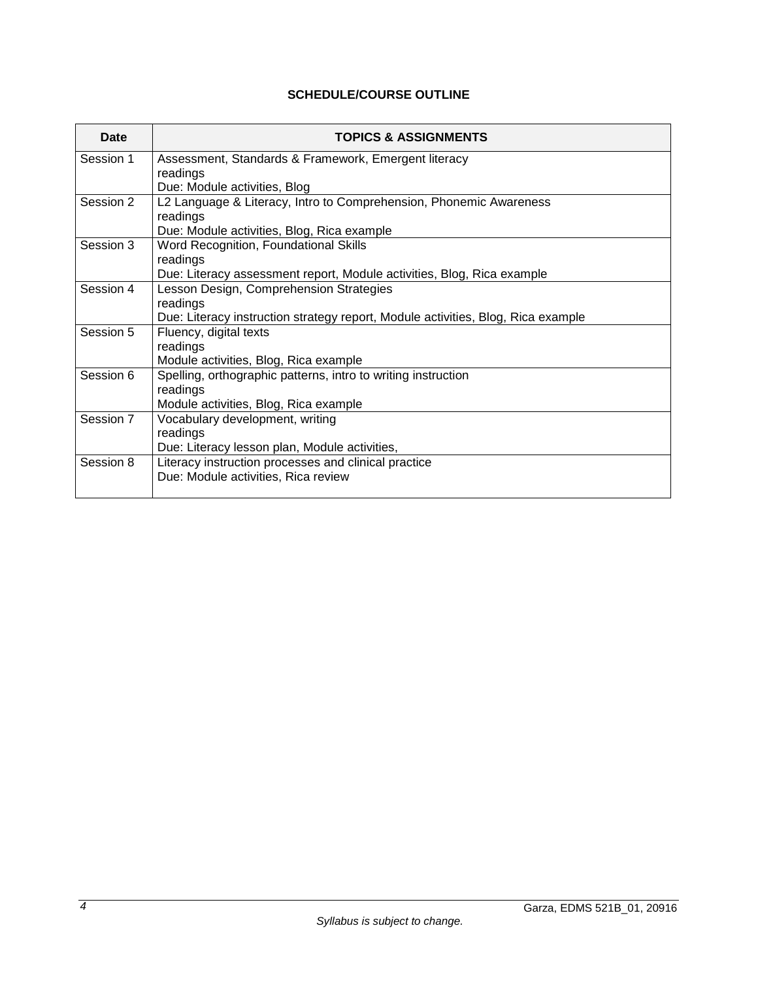# **SCHEDULE/COURSE OUTLINE**

<span id="page-5-0"></span>

| Date      | <b>TOPICS &amp; ASSIGNMENTS</b>                                                  |  |
|-----------|----------------------------------------------------------------------------------|--|
| Session 1 | Assessment, Standards & Framework, Emergent literacy                             |  |
|           | readings                                                                         |  |
|           | Due: Module activities, Blog                                                     |  |
| Session 2 | L2 Language & Literacy, Intro to Comprehension, Phonemic Awareness               |  |
|           | readings                                                                         |  |
|           | Due: Module activities, Blog, Rica example                                       |  |
| Session 3 | Word Recognition, Foundational Skills                                            |  |
|           | readings                                                                         |  |
|           | Due: Literacy assessment report, Module activities, Blog, Rica example           |  |
| Session 4 | Lesson Design, Comprehension Strategies                                          |  |
|           | readings                                                                         |  |
|           | Due: Literacy instruction strategy report, Module activities, Blog, Rica example |  |
| Session 5 | Fluency, digital texts                                                           |  |
|           | readings                                                                         |  |
|           | Module activities, Blog, Rica example                                            |  |
| Session 6 | Spelling, orthographic patterns, intro to writing instruction                    |  |
|           | readings                                                                         |  |
|           | Module activities, Blog, Rica example                                            |  |
| Session 7 | Vocabulary development, writing                                                  |  |
|           | readings                                                                         |  |
|           | Due: Literacy lesson plan, Module activities,                                    |  |
| Session 8 | Literacy instruction processes and clinical practice                             |  |
|           | Due: Module activities, Rica review                                              |  |
|           |                                                                                  |  |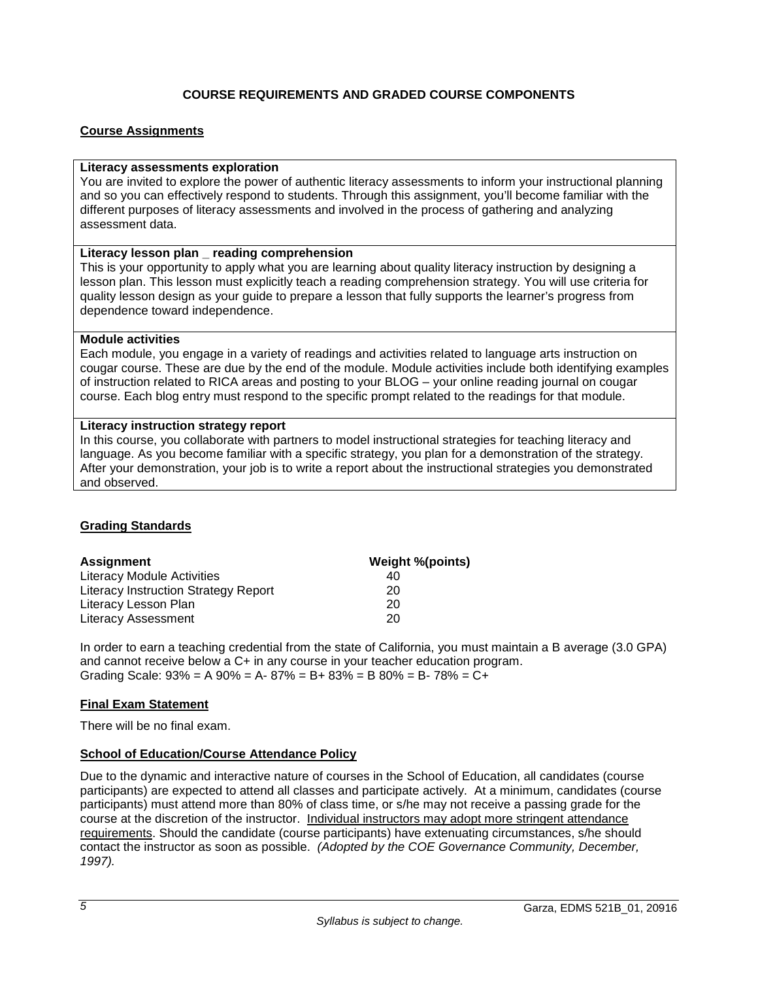# **COURSE REQUIREMENTS AND GRADED COURSE COMPONENTS**

# <span id="page-6-1"></span><span id="page-6-0"></span>**Course Assignments**

### **Literacy assessments exploration**

You are invited to explore the power of authentic literacy assessments to inform your instructional planning and so you can effectively respond to students. Through this assignment, you'll become familiar with the different purposes of literacy assessments and involved in the process of gathering and analyzing assessment data.

### **Literacy lesson plan \_ reading comprehension**

This is your opportunity to apply what you are learning about quality literacy instruction by designing a lesson plan. This lesson must explicitly teach a reading comprehension strategy. You will use criteria for quality lesson design as your guide to prepare a lesson that fully supports the learner's progress from dependence toward independence.

### **Module activities**

Each module, you engage in a variety of readings and activities related to language arts instruction on cougar course. These are due by the end of the module. Module activities include both identifying examples of instruction related to RICA areas and posting to your BLOG – your online reading journal on cougar course. Each blog entry must respond to the specific prompt related to the readings for that module.

## **Literacy instruction strategy report**

In this course, you collaborate with partners to model instructional strategies for teaching literacy and language. As you become familiar with a specific strategy, you plan for a demonstration of the strategy. After your demonstration, your job is to write a report about the instructional strategies you demonstrated and observed.

# <span id="page-6-2"></span>**Grading Standards**

| <b>Assignment</b>                    | <b>Weight %(points)</b> |
|--------------------------------------|-------------------------|
| Literacy Module Activities           | 40                      |
| Literacy Instruction Strategy Report | 20                      |
| Literacy Lesson Plan                 | 20                      |
| <b>Literacy Assessment</b>           | 20                      |

In order to earn a teaching credential from the state of California, you must maintain a B average (3.0 GPA) and cannot receive below a C+ in any course in your teacher education program. Grading Scale:  $93\% = A\,90\% = A - 87\% = B + 83\% = B\,80\% = B - 78\% = C +$ 

# <span id="page-6-3"></span>**Final Exam Statement**

There will be no final exam.

# <span id="page-6-4"></span>**School of Education/Course Attendance Policy**

Due to the dynamic and interactive nature of courses in the School of Education, all candidates (course participants) are expected to attend all classes and participate actively. At a minimum, candidates (course participants) must attend more than 80% of class time, or s/he may not receive a passing grade for the course at the discretion of the instructor. Individual instructors may adopt more stringent attendance requirements. Should the candidate (course participants) have extenuating circumstances, s/he should contact the instructor as soon as possible. *(Adopted by the COE Governance Community, December, 1997).*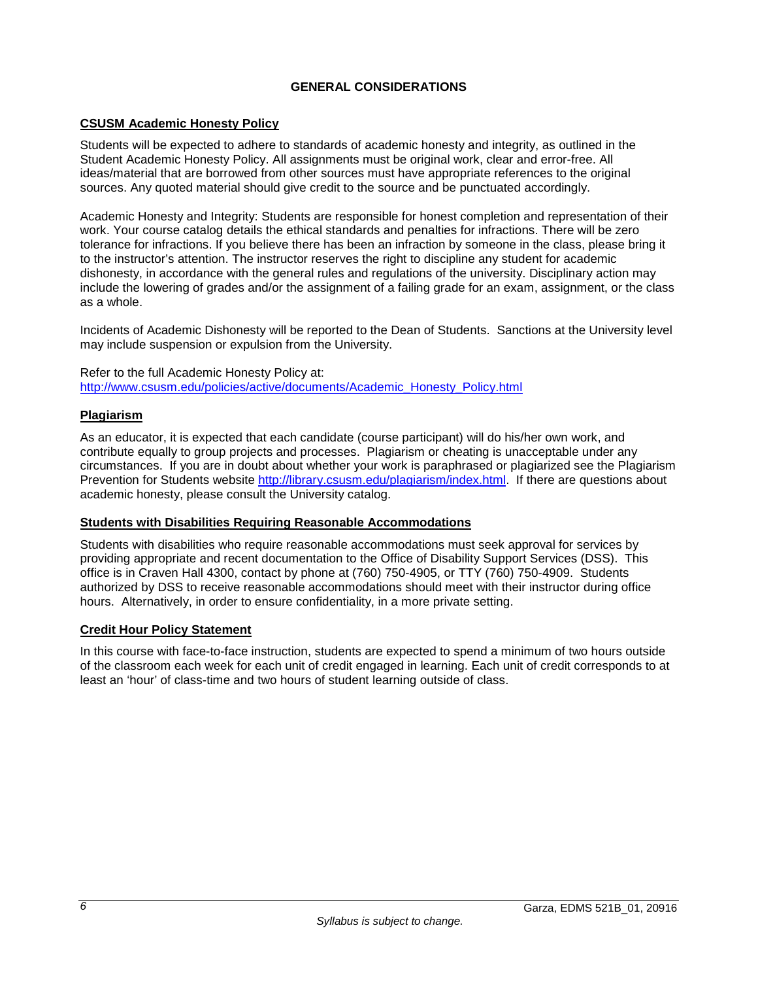# **GENERAL CONSIDERATIONS**

## <span id="page-7-1"></span><span id="page-7-0"></span>**CSUSM Academic Honesty Policy**

Students will be expected to adhere to standards of academic honesty and integrity, as outlined in the Student Academic Honesty Policy. All assignments must be original work, clear and error-free. All ideas/material that are borrowed from other sources must have appropriate references to the original sources. Any quoted material should give credit to the source and be punctuated accordingly.

Academic Honesty and Integrity: Students are responsible for honest completion and representation of their work. Your course catalog details the ethical standards and penalties for infractions. There will be zero tolerance for infractions. If you believe there has been an infraction by someone in the class, please bring it to the instructor's attention. The instructor reserves the right to discipline any student for academic dishonesty, in accordance with the general rules and regulations of the university. Disciplinary action may include the lowering of grades and/or the assignment of a failing grade for an exam, assignment, or the class as a whole.

Incidents of Academic Dishonesty will be reported to the Dean of Students. Sanctions at the University level may include suspension or expulsion from the University.

Refer to the full Academic Honesty Policy at: [http://www.csusm.edu/policies/active/documents/Academic\\_Honesty\\_Policy.html](http://www.csusm.edu/policies/active/documents/Academic_Honesty_Policy.html)

## <span id="page-7-2"></span>**Plagiarism**

As an educator, it is expected that each candidate (course participant) will do his/her own work, and contribute equally to group projects and processes. Plagiarism or cheating is unacceptable under any circumstances. If you are in doubt about whether your work is paraphrased or plagiarized see the Plagiarism Prevention for Students website [http://library.csusm.edu/plagiarism/index.html.](http://library.csusm.edu/plagiarism/index.html) If there are questions about academic honesty, please consult the University catalog.

### <span id="page-7-3"></span>**Students with Disabilities Requiring Reasonable Accommodations**

Students with disabilities who require reasonable accommodations must seek approval for services by providing appropriate and recent documentation to the Office of Disability Support Services (DSS). This office is in Craven Hall 4300, contact by phone at (760) 750-4905, or TTY (760) 750-4909. Students authorized by DSS to receive reasonable accommodations should meet with their instructor during office hours. Alternatively, in order to ensure confidentiality, in a more private setting.

### <span id="page-7-4"></span>**Credit Hour Policy Statement**

In this course with face-to-face instruction, students are expected to spend a minimum of two hours outside of the classroom each week for each unit of credit engaged in learning. Each unit of credit corresponds to at least an 'hour' of class-time and two hours of student learning outside of class.